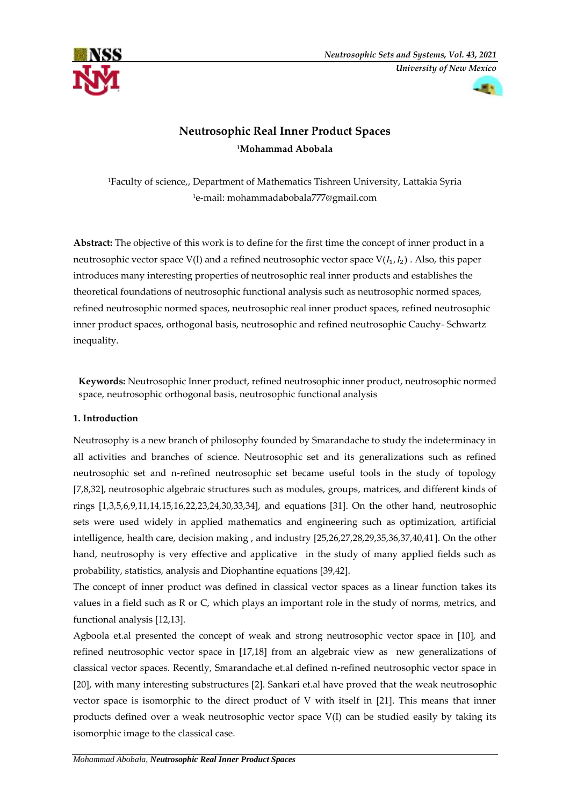



# **Neutrosophic Real Inner Product Spaces <sup>1</sup>Mohammad Abobala**

<sup>1</sup>Faculty of science,, Department of Mathematics Tishreen University, Lattakia Syria <sup>1</sup>e-mail: [mohammadabobala777@gmail.com](mailto:mohammadabobala777@gmail.com)

**Abstract:** The objective of this work is to define for the first time the concept of inner product in a neutrosophic vector space V(I) and a refined neutrosophic vector space  $V(I_1, I_2)$ . Also, this paper introduces many interesting properties of neutrosophic real inner products and establishes the theoretical foundations of neutrosophic functional analysis such as neutrosophic normed spaces, refined neutrosophic normed spaces, neutrosophic real inner product spaces, refined neutrosophic inner product spaces, orthogonal basis, neutrosophic and refined neutrosophic Cauchy- Schwartz inequality.

**Keywords:** Neutrosophic Inner product, refined neutrosophic inner product, neutrosophic normed space, neutrosophic orthogonal basis, neutrosophic functional analysis

# **1. Introduction**

Neutrosophy is a new branch of philosophy founded by Smarandache to study the indeterminacy in all activities and branches of science. Neutrosophic set and its generalizations such as refined neutrosophic set and n-refined neutrosophic set became useful tools in the study of topology [7,8,32], neutrosophic algebraic structures such as modules, groups, matrices, and different kinds of rings [1,3,5,6,9,11,14,15,16,22,23,24,30,33,34], and equations [31]. On the other hand, neutrosophic sets were used widely in applied mathematics and engineering such as optimization, artificial intelligence, health care, decision making , and industry [25,26,27,28,29,35,36,37,40,41]. On the other hand, neutrosophy is very effective and applicative in the study of many applied fields such as probability, statistics, analysis and Diophantine equations [39,42].

The concept of inner product was defined in classical vector spaces as a linear function takes its values in a field such as R or C, which plays an important role in the study of norms, metrics, and functional analysis [12,13].

Agboola et.al presented the concept of weak and strong neutrosophic vector space in [10], and refined neutrosophic vector space in [17,18] from an algebraic view as new generalizations of classical vector spaces. Recently, Smarandache et.al defined n-refined neutrosophic vector space in [20], with many interesting substructures [2]. Sankari et.al have proved that the weak neutrosophic vector space is isomorphic to the direct product of V with itself in [21]. This means that inner products defined over a weak neutrosophic vector space V(I) can be studied easily by taking its isomorphic image to the classical case.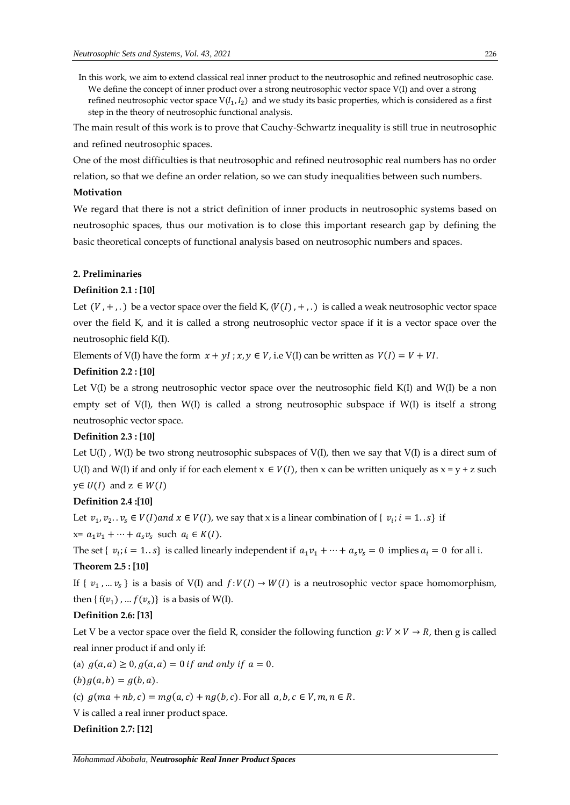In this work, we aim to extend classical real inner product to the neutrosophic and refined neutrosophic case. We define the concept of inner product over a strong neutrosophic vector space V(I) and over a strong refined neutrosophic vector space  $V(I_1, I_2)$  and we study its basic properties, which is considered as a first step in the theory of neutrosophic functional analysis.

The main result of this work is to prove that Cauchy-Schwartz inequality is still true in neutrosophic and refined neutrosophic spaces.

One of the most difficulties is that neutrosophic and refined neutrosophic real numbers has no order

relation, so that we define an order relation, so we can study inequalities between such numbers.

#### **Motivation**

We regard that there is not a strict definition of inner products in neutrosophic systems based on neutrosophic spaces, thus our motivation is to close this important research gap by defining the basic theoretical concepts of functional analysis based on neutrosophic numbers and spaces.

## **2. Preliminaries**

## **Definition 2.1 : [10]**

Let  $(V, +, .)$  be a vector space over the field K,  $(V(I), +, .)$  is called a weak neutrosophic vector space over the field K, and it is called a strong neutrosophic vector space if it is a vector space over the neutrosophic field K(I).

Elements of V(I) have the form  $x + yI$ ;  $x, y \in V$ , i.e V(I) can be written as  $V(I) = V + VI$ .

## **Definition 2.2 : [10]**

Let V(I) be a strong neutrosophic vector space over the neutrosophic field K(I) and W(I) be a non empty set of  $V(I)$ , then  $W(I)$  is called a strong neutrosophic subspace if  $W(I)$  is itself a strong neutrosophic vector space.

## **Definition 2.3 : [10]**

Let  $U(I)$ ,  $W(I)$  be two strong neutrosophic subspaces of  $V(I)$ , then we say that  $V(I)$  is a direct sum of U(I) and W(I) if and only if for each element  $x \in V(I)$ , then x can be written uniquely as  $x = y + z$  such  $y \in U(I)$  and  $z \in W(I)$ 

#### **Definition 2.4 :[10]**

Let  $v_1, v_2, v_s \in V(I)$  and  $x \in V(I)$ , we say that x is a linear combination of  $\{v_i; i = 1, s\}$  if

 $x=a_1v_1+\cdots+a_sv_s$  such  $a_i \in K(I)$ .

The set {  $v_i$ ;  $i = 1..s$ } is called linearly independent if  $a_1v_1 + \cdots + a_sv_s = 0$  implies  $a_i = 0$  for all i.

#### **Theorem 2.5 : [10]**

If  $\{v_1, ..., v_s\}$  is a basis of V(I) and  $f: V(I) \to W(I)$  is a neutrosophic vector space homomorphism, then  $\{f(v_1), \ldots f(v_s)\}\)$  is a basis of W(I).

#### **Definition 2.6: [13]**

Let V be a vector space over the field R, consider the following function  $g: V \times V \to R$ , then g is called real inner product if and only if:

(a)  $g(a, a) \ge 0, g(a, a) = 0$  if and only if  $a = 0$ .

 $(b)g(a, b) = g(b, a).$ 

(c)  $g(ma + nb, c) = mg(a, c) + ng(b, c)$ . For all  $a, b, c \in V, m, n \in R$ .

V is called a real inner product space.

#### **Definition 2.7: [12]**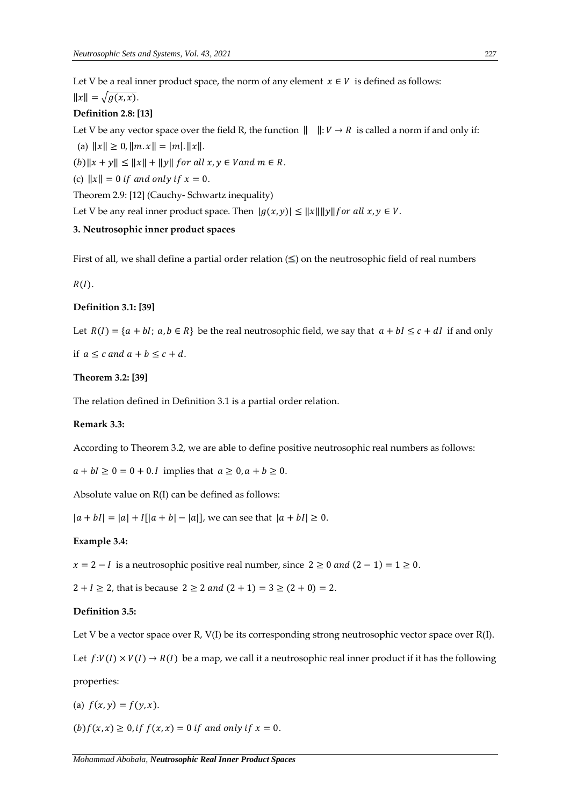Let V be a real inner product space, the norm of any element  $x \in V$  is defined as follows:  $||x|| = \sqrt{g(x, x)}$ .

#### **Definition 2.8: [13]**

Let V be any vector space over the field R, the function  $|| \cdot ||: V \rightarrow R$  is called a norm if and only if:

(a)  $||x|| \ge 0$ ,  $||m \cdot x|| = |m|$ .  $||x||$ .

 $(b)$ ||x + y||  $\leq$  ||x|| + ||y|| for all  $x, y \in V$  and  $m \in R$ .

(c)  $||x|| = 0$  if and only if  $x = 0$ .

Theorem 2.9: [12] (Cauchy- Schwartz inequality)

Let V be any real inner product space. Then  $|g(x, y)| \le ||x|| ||y||$  for all  $x, y \in V$ .

# **3. Neutrosophic inner product spaces**

First of all, we shall define a partial order relation  $(\le)$  on the neutrosophic field of real numbers

 $R(I).$ 

#### **Definition 3.1: [39]**

Let  $R(I) = \{a + bl; a, b \in R\}$  be the real neutrosophic field, we say that  $a + bl \leq c + dl$  if and only

if  $a \leq c$  and  $a + b \leq c + d$ .

#### **Theorem 3.2: [39]**

The relation defined in Definition 3.1 is a partial order relation.

## **Remark 3.3:**

According to Theorem 3.2, we are able to define positive neutrosophic real numbers as follows:

 $a + bI \ge 0 = 0 + 0$ . I implies that  $a \ge 0$ ,  $a + b \ge 0$ .

Absolute value on R(I) can be defined as follows:

 $|a + bI| = |a| + |a| + |a| - |a|$ , we can see that  $|a + bI| \ge 0$ .

#### **Example 3.4:**

 $x = 2 - I$  is a neutrosophic positive real number, since  $2 \ge 0$  and  $(2 - 1) = 1 \ge 0$ .

 $2 + I \ge 2$ , that is because  $2 \ge 2$  and  $(2 + 1) = 3 \ge (2 + 0) = 2$ .

## **Definition 3.5:**

Let V be a vector space over R, V(I) be its corresponding strong neutrosophic vector space over  $R(I)$ .

Let  $f:V(I) \times V(I) \rightarrow R(I)$  be a map, we call it a neutrosophic real inner product if it has the following properties:

(a) 
$$
f(x, y) = f(y, x)
$$
.

 $(b) f(x, x) \ge 0$ , if  $f(x, x) = 0$  if and only if  $x = 0$ .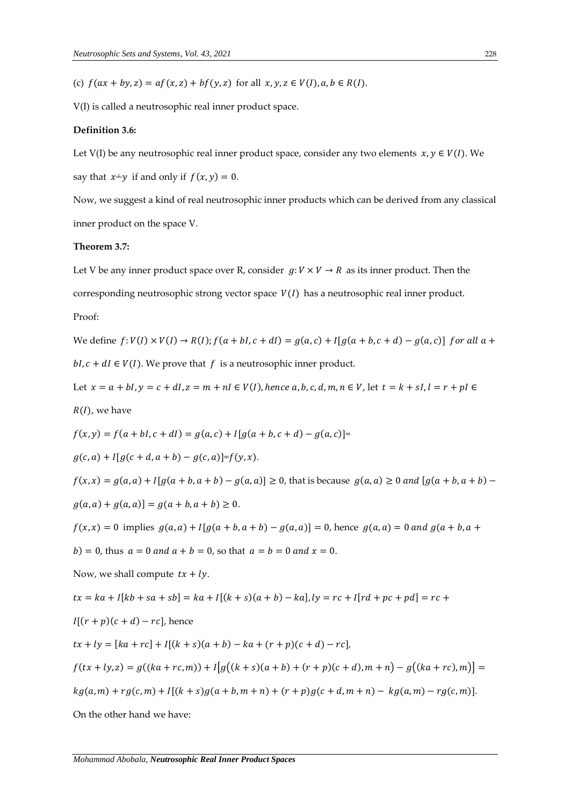(c)  $f(ax + by, z) = af(x, z) + bf(y, z)$  for all  $x, y, z \in V(I), a, b \in R(I)$ .

V(I) is called a neutrosophic real inner product space.

#### **Definition 3.6:**

Let V(I) be any neutrosophic real inner product space, consider any two elements  $x, y \in V(I)$ . We say that  $x+y$  if and only if  $f(x, y) = 0$ .

Now, we suggest a kind of real neutrosophic inner products which can be derived from any classical inner product on the space V.

## **Theorem 3.7:**

Let V be any inner product space over R, consider  $g: V \times V \to R$  as its inner product. Then the corresponding neutrosophic strong vector space  $V(I)$  has a neutrosophic real inner product. Proof:

We define  $f: V(I) \times V(I) \rightarrow R(I); f(a + bI, c + dI) = g(a, c) + I[g(a + b, c + d) - g(a, c)]$  for all  $a +$  $bl, c + dl \in V(I)$ . We prove that f is a neutrosophic inner product.

Let  $x = a + bl$ ,  $y = c + dl$ ,  $z = m + nl \in V(I)$ , hence a, b, c, d, m,  $n \in V$ , let  $t = k + sl$ ,  $l = r + pl \in V$  $R(I)$ , we have

 $f(x, y) = f(a + bI, c + dI) = g(a, c) + I[g(a + b, c + d) - g(a, c)]$ 

 $g(c, a) + I[g(c + d, a + b) - g(c, a)] = f(y, x).$ 

 $f(x, x) = g(a, a) + I[g(a + b, a + b) - g(a, a)] \ge 0$ , that is because  $g(a, a) \ge 0$  and  $[g(a + b, a + b) - g(a, a)] = 0$  $g(a, a) + g(a, a) = g(a + b, a + b) \ge 0.$ 

 $f(x, x) = 0$  implies  $g(a, a) + I[g(a + b, a + b) - g(a, a)] = 0$ , hence  $g(a, a) = 0$  and  $g(a + b, a + b)$ 

 $(b) = 0$ , thus  $a = 0$  and  $a + b = 0$ , so that  $a = b = 0$  and  $x = 0$ .

Now, we shall compute  $tx + ly$ .

$$
tx = ka + I[kb + sa + sb] = ka + I[(k + s)(a + b) - ka], ly = rc + I[rd + pc + pd] = rc +
$$

$$
I[(r+p)(c+d)-rc],
$$
 hence

 $tx + ly = [ka + rc] + I[(k + s)(a + b) - ka + (r + p)(c + d) - rc],$ 

$$
f(tx + ly, z) = g((ka + rc, m)) + I[g((k + s)(a + b) + (r + p)(c + d), m + n) - g((ka + rc), m)] =
$$

$$
kg(a,m) + rg(c,m) + I[(k+s)g(a+b,m+n) + (r+p)g(c+d,m+n) - kg(a,m) - rg(c,m)].
$$

On the other hand we have: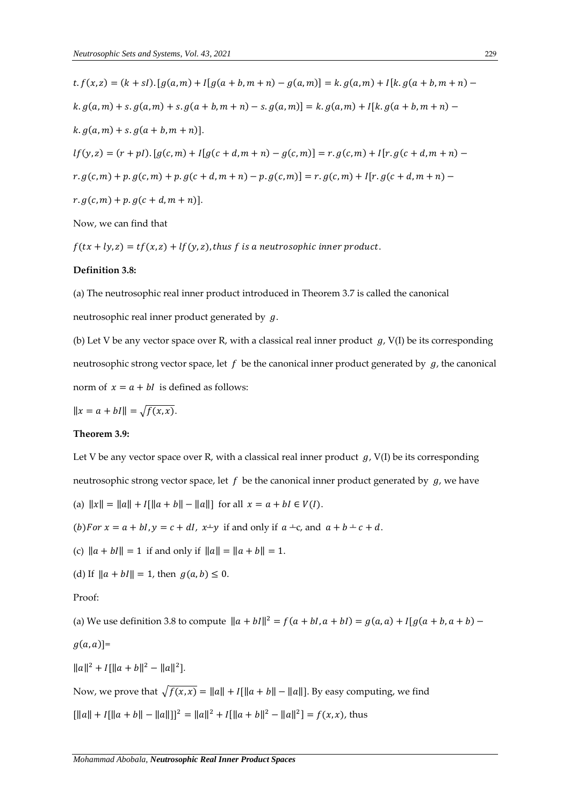$t. f(x, z) = (k + sI) \cdot [g(a, m) + I[g(a + b, m + n) - g(a, m)] = k. g(a, m) + I[k. g(a + b, m + n)$  $k. g(a, m) + s. g(a, m) + s. g(a + b, m + n) - s. g(a, m) = k. g(a, m) + I[k. g(a + b, m + n)$  $k. g(a, m) + s. g(a + b, m + n)].$  $lf(y, z) = (r + pl)$ .  $[g(c, m) + I[g(c + d, m + n) - g(c, m)] = r$ .  $g(c, m) + I[r, g(c + d, m + n) - g(c, m)]$  $r. g(c, m) + p. g(c, m) + p. g(c + d, m + n) - p. g(c, m) = r. g(c, m) + I[r. g(c + d, m + n)$  $r. g(c, m) + p. g(c + d, m + n)].$ 

Now, we can find that

 $f(tx + ly, z) = tf(x, z) + lf(y, z)$ , thus f is a neutrosophic inner product.

### **Definition 3.8:**

(a) The neutrosophic real inner product introduced in Theorem 3.7 is called the canonical neutrosophic real inner product generated by  $g$ .

(b) Let V be any vector space over R, with a classical real inner product  $g$ , V(I) be its corresponding neutrosophic strong vector space, let  $f$  be the canonical inner product generated by  $g_t$ , the canonical norm of  $x = a + bI$  is defined as follows:

$$
||x = a + bI|| = \sqrt{f(x, x)}.
$$

## **Theorem 3.9:**

Let V be any vector space over R, with a classical real inner product  $g$ , V(I) be its corresponding neutrosophic strong vector space, let  $f$  be the canonical inner product generated by  $g$ , we have

(a)  $||x|| = ||a|| + I[||a + b|| - ||a||]$  for all  $x = a + bI \in V(I)$ .

(b) For  $x = a + bI$ ,  $y = c + dI$ ,  $x+y$  if and only if  $a + c$ , and  $a + b + c + d$ .

(c)  $\|a + bI\| = 1$  if and only if  $\|a\| = \|a + b\| = 1$ .

(d) If  $||a + bI|| = 1$ , then  $g(a, b) \le 0$ .

#### Proof:

(a) We use definition 3.8 to compute  $\|a + bI\|^2 = f(a + bI, a + bI) = g(a, a) + I[g(a + b, a + b) -$ 

$$
g(a,a)]=
$$

 $\|a\|^2 + I\|a + b\|^2 - \|a\|^2.$ 

Now, we prove that  $\sqrt{f(x, x)} = ||a|| + I||a + b|| - ||a||$ . By easy computing, we find

 $\left[ ||a|| + I(||a + b|| - ||a||) \right]^2 = ||a||^2 + I(||a + b||^2 - ||a||^2) = f(x, x)$ , thus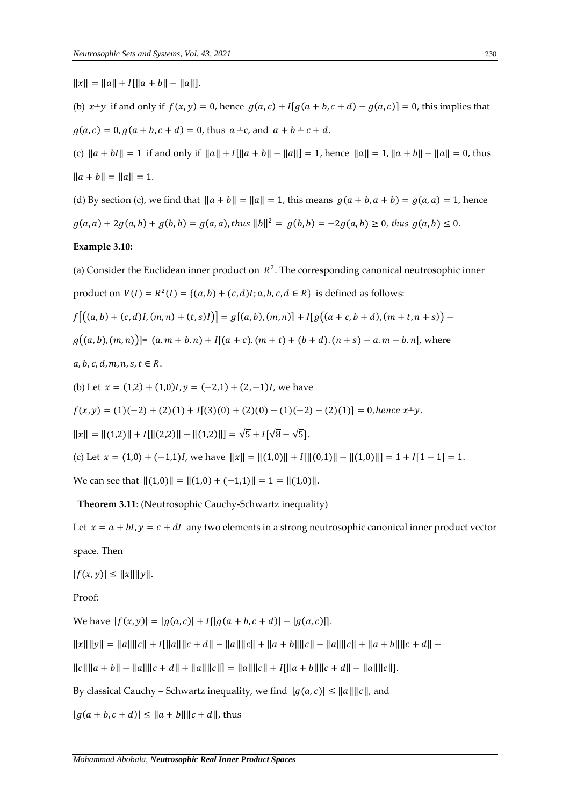$||x|| = ||a|| + I[||a + b|| - ||a||].$ 

(b)  $x+y$  if and only if  $f(x, y) = 0$ , hence  $g(a, c) + I[g(a + b, c + d) - g(a, c)] = 0$ , this implies that  $g(a, c) = 0, g(a + b, c + d) = 0$ , thus  $a + c$ , and  $a + b + c + d$ .

(c)  $\|a + bI\| = 1$  if and only if  $\|a\| + I\| \|a + b\| - \|a\| = 1$ , hence  $\|a\| = 1$ ,  $\|a + b\| - \|a\| = 0$ , thus  $\|a + b\| = \|a\| = 1.$ 

(d) By section (c), we find that  $||a + b|| = ||a|| = 1$ , this means  $g(a + b, a + b) = g(a, a) = 1$ , hence  $g(a, a) + 2g(a, b) + g(b, b) = g(a, a)$ , thus  $||b||^2 = g(b, b) = -2g(a, b) \ge 0$ , thus  $g(a, b) \le 0$ .

#### **Example 3.10:**

(a) Consider the Euclidean inner product on  $R^2$ . The corresponding canonical neutrosophic inner product on  $V(I) = R^2(I) = \{(a, b) + (c, d)I; a, b, c, d \in R\}$  is defined as follows:

$$
f[(a,b)+(c,d)I,(m,n)+(t,s)I] = g[(a,b),(m,n)] + I[g((a+c,b+d),(m+t,n+s)) -
$$

 $g((a, b), (m, n))$  =  $(a. m + b. n) + I[(a + c). (m + t) + (b + d). (n + s) - a. m - b. n]$ , where

 $a, b, c, d, m, n, s, t \in R$ .

(b) Let  $x = (1,2) + (1,0)I$ ,  $y = (-2,1) + (2,-1)I$ , we have

$$
f(x,y) = (1)(-2) + (2)(1) + I[(3)(0) + (2)(0) - (1)(-2) - (2)(1)] = 0, \text{ hence } x \perp y.
$$

 $||x|| = ||(1,2)|| + I[||(2,2)|| - ||(1,2)||] = \sqrt{5} + I[\sqrt{8} - \sqrt{5}].$ 

(c) Let  $x = (1,0) + (-1,1)I$ , we have  $||x|| = ||(1,0)|| + I[||(0,1)|| - ||(1,0)||] = 1 + I[1-1] = 1$ .

We can see that  $||(1,0)|| = ||(1,0) + (-1,1)|| = 1 = ||(1,0)||$ .

**Theorem 3.11**: (Neutrosophic Cauchy-Schwartz inequality)

Let  $x = a + bI$ ,  $y = c + dI$  any two elements in a strong neutrosophic canonical inner product vector space. Then

 $|f(x, y)| \leq ||x|| ||y||.$ 

Proof:

We have  $|f(x, y)| = |g(a, c)| + I[|g(a + b, c + d)| - |g(a, c)|].$ 

 $||x|| ||y|| = ||a|| ||c|| + I[||a|| ||c + d|| - ||a|| ||c|| + ||a + b|| ||c|| - ||a|| ||c|| + ||a + b|| ||c + d|| -$ 

 $\|c\| \|a + b\| - \|a\| \|c + d\| + \|a\| \|c\| = \|a\| \|c\| + I \|a + b\| \|c + d\| - \|a\| \|c\|$ .

By classical Cauchy – Schwartz inequality, we find  $|g(a, c)| \le ||a|| ||c||$ , and

 $|g(a + b, c + d)| \le ||a + b|| ||c + d||$ , thus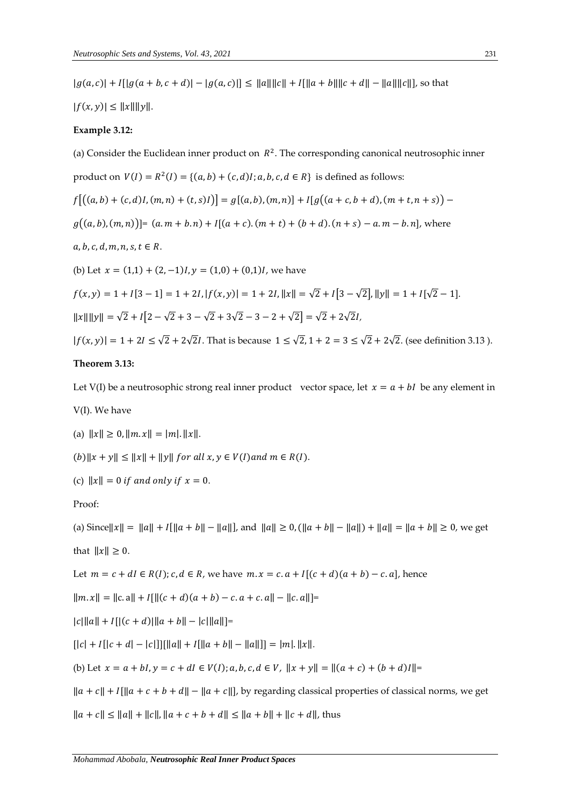$|g(a, c)| + |g(a + b, c + d)| - |g(a, c)| \le ||a|| ||c|| + |f|| |a + b|| ||c + d|| - ||a|| ||c||$ , so that

 $|f(x, y)| \leq ||x|| ||y||.$ 

#### **Example 3.12:**

(a) Consider the Euclidean inner product on  $R^2$ . The corresponding canonical neutrosophic inner product on  $V(I) = R^2(I) = \{(a, b) + (c, d)I; a, b, c, d \in R\}$  is defined as follows:  $f[(a, b) + (c, d)I, (m, n) + (t, s)I] = g[(a, b), (m, n)] + I[g((a + c, b + d), (m + t, n + s))]$  $g((a, b), (m, n))$  =  $(a. m + b. n) + I[(a + c). (m + t) + (b + d). (n + s) - a. m - b. n]$ , where  $a, b, c, d, m, n, s, t \in R$ . (b) Let  $x = (1,1) + (2,-1)I$ ,  $y = (1,0) + (0,1)I$ , we have  $f(x, y) = 1 + I[3 - 1] = 1 + 2I, |f(x, y)| = 1 + 2I, ||x|| = \sqrt{2} + I[3 - \sqrt{2}], ||y|| = 1 + I[\sqrt{2} - 1].$ ‖‖‖‖ = √2+ [2− √2 +3 − √2+ 3√2 −3 − 2+ √2] = √2 +2√2*,*  $|f(x, y)| = 1 + 2I \le \sqrt{2} + 2\sqrt{2}I$ . That is because  $1 \le \sqrt{2}$ ,  $1 + 2 = 3 \le \sqrt{2} + 2\sqrt{2}$ . (see definition 3.13).

## **Theorem 3.13:**

Let V(I) be a neutrosophic strong real inner product vector space, let  $x = a + bI$  be any element in

V(I). We have

- (a)  $||x|| \ge 0$ ,  $||m \cdot x|| = |m|$ .  $||x||$ .
- $(b)$ ||x + y||  $\leq$  ||x|| + ||y|| for all  $x, y \in V(I)$  and  $m \in R(I)$ .

(c)  $||x|| = 0$  if and only if  $x = 0$ .

Proof:

(a) Since  $||x|| = ||a|| + I[||a + b|| - ||a||]$ , and  $||a|| \ge 0$ ,  $(||a + b|| - ||a||) + ||a|| = ||a + b|| \ge 0$ , we get

that  $||x|| \geq 0$ .

Let  $m = c + dI \in R(I); c, d \in R$ , we have  $m \cdot x = c \cdot a + I[(c + d)(a + b) - c \cdot a]$ , hence

 $\|m \times \| = \|c \cdot a\| + I\| \| (c + d)(a + b) - c \cdot a + c \cdot a \| - \|c \cdot a\| =$ 

 $|c| ||a|| + I[|(c+d)||a+b|| - |c|||a||]$ =

 $[|c| + I|[c+d] - |c|][|||a|| + I[||a+b|| - ||a||]] = |m|.||x||.$ 

(b) Let  $x = a + bI$ ,  $y = c + dI \in V(I); a, b, c, d \in V$ ,  $||x + y|| = ||(a + c) + (b + d)I|| =$ 

 $\|a+c\|+I\|a+c+b+d\|- \|a+c\|$ , by regarding classical properties of classical norms, we get

 $||a + c|| \le ||a|| + ||c||$ ,  $||a + c + b + d|| \le ||a + b|| + ||c + d||$ , thus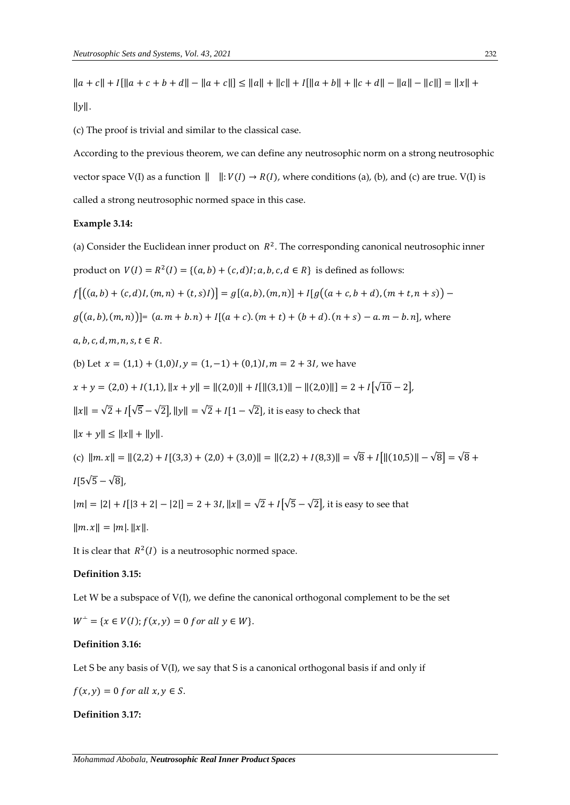$||a + c|| + I[||a + c + b + d|| - ||a + c||] \le ||a|| + ||c|| + I[||a + b|| + ||c + d|| - ||a|| - ||c||] = ||x|| + d$ 

 $\|y\|$ .

(c) The proof is trivial and similar to the classical case.

According to the previous theorem, we can define any neutrosophic norm on a strong neutrosophic vector space V(I) as a function  $|| \cdot |V(I) \rightarrow R(I)$ , where conditions (a), (b), and (c) are true. V(I) is called a strong neutrosophic normed space in this case.

# **Example 3.14:**

(a) Consider the Euclidean inner product on  $R^2$ . The corresponding canonical neutrosophic inner product on  $V(I) = R^2(I) = \{(a, b) + (c, d)I; a, b, c, d \in R\}$  is defined as follows:  $f[(a, b) + (c, d)I, (m, n) + (t, s)I] = g[(a, b), (m, n)] + I[g((a + c, b + d), (m + t, n + s))]$  $g((a, b), (m, n)) = (a, m + b, n) + I[(a + c), (m + t) + (b + d), (n + s) - a, m - b, n]$ , where  $a, b, c, d, m, n, s, t \in R$ . (b) Let  $x = (1,1) + (1,0)I$ ,  $y = (1,-1) + (0,1)I$ ,  $m = 2 + 3I$ , we have  $x + y = (2,0) + I(1,1), ||x + y|| = ||(2,0)|| + I[||(3,1)|| - ||(2,0)||] = 2 + I[\sqrt{10}-2],$  $||x|| = \sqrt{2} + I\sqrt{5} - \sqrt{2}$ ,  $||y|| = \sqrt{2} + I[1 - \sqrt{2}]$ , it is easy to check that  $||x + y|| \le ||x|| + ||y||.$ (c)  $\|m \cdot x\| = \|(2,2) + I[(3,3) + (2,0) + (3,0)\| = \|(2,2) + I(8,3)\| = \sqrt{8} + I[\|(10,5)\| - \sqrt{8}] = \sqrt{8} + I[\|(10,5)\| - \sqrt{8}] = \sqrt{8} + I[\|(10,5)\| - \sqrt{8}] = \sqrt{8} + I[\|(10,5)\| - \sqrt{8}] = \sqrt{8} + I[\|(10,5)\| - \sqrt{8}] = \sqrt{8} + I[\|(10,5)\| - \sqrt{8}] = \sqrt{8} + I[\|(10,5)\| - \sqrt{8}] = \sqrt{8} + I[\|(10$  $I[5\sqrt{5} - \sqrt{8}]$ ,  $|m| = |2| + |[3 + 2| - |2|] = 2 + 3I, ||x|| = \sqrt{2} + I[\sqrt{5} - \sqrt{2}]$ , it is easy to see that  $\|m \cdot x\| = |m| \cdot \|x\|.$ It is clear that  $R^2(I)$  is a neutrosophic normed space.

## **Definition 3.15:**

Let W be a subspace of  $V(I)$ , we define the canonical orthogonal complement to be the set

 $W^{\perp} = \{x \in V(I); f(x, y) = 0 \text{ for all } y \in W\}.$ 

#### **Definition 3.16:**

Let S be any basis of V(I), we say that S is a canonical orthogonal basis if and only if

 $f(x, y) = 0$  for all  $x, y \in S$ .

#### **Definition 3.17:**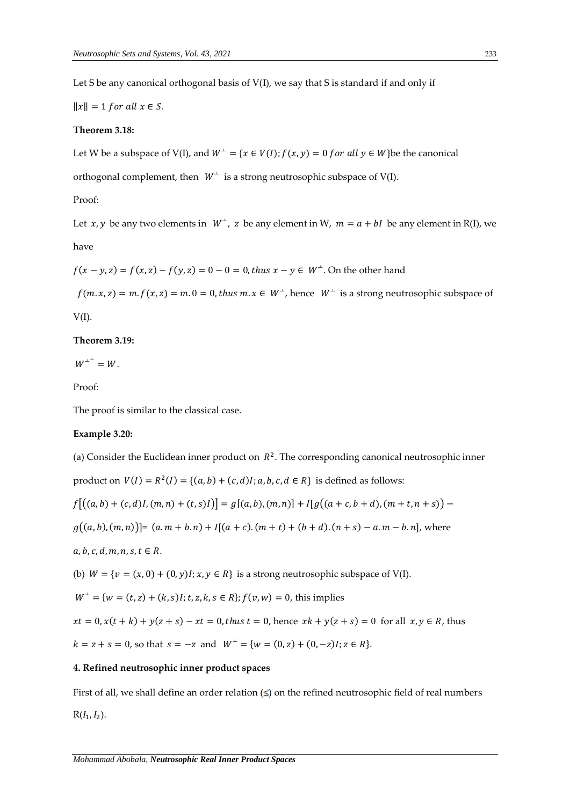Let S be any canonical orthogonal basis of V(I), we say that S is standard if and only if

 $||x|| = 1$  for all  $x \in S$ .

#### **Theorem 3.18:**

Let W be a subspace of V(I), and  $W^{\perp} = \{x \in V(I); f(x, y) = 0 \text{ for all } y \in W\}$ be the canonical

orthogonal complement, then  $W^{\perp}$  is a strong neutrosophic subspace of V(I).

Proof:

Let *x*, *y* be any two elements in  $W^{\perp}$ , *z* be any element in W,  $m = a + bI$  be any element in R(I), we have

$$
f(x - y, z) = f(x, z) - f(y, z) = 0 - 0 = 0
$$
, thus  $x - y \in W^{\perp}$ . On the other hand

 $f(m, x, z) = m$ .  $f(x, z) = m$ .  $0 = 0$ , thus  $m$ .  $x \in W^{\perp}$ , hence  $W^{\perp}$  is a strong neutrosophic subspace of

 $V(I)$ .

#### **Theorem 3.19:**

 $W^{\perp^{\perp}} = W.$ 

Proof:

The proof is similar to the classical case.

#### **Example 3.20:**

(a) Consider the Euclidean inner product on  $R^2$ . The corresponding canonical neutrosophic inner

product on  $V(I) = R^2(I) = \{(a, b) + (c, d)I; a, b, c, d \in R\}$  is defined as follows:

 $f[(a, b) + (c, d)I, (m, n) + (t, s)I] = g[(a, b), (m, n)] + I[g((a + c, b + d), (m + t, n + s))]$ 

 $g((a, b), (m, n))] = (a. m + b. n) + I[(a + c). (m + t) + (b + d). (n + s) - a. m - b. n]$ , where

 $a, b, c, d, m, n, s, t \in R$ .

(b)  $W = \{v = (x, 0) + (0, y)I; x, y \in R\}$  is a strong neutrosophic subspace of V(I).

 $W^{\perp} = \{ w = (t, z) + (k, s)I; t, z, k, s \in R \}$ ;  $f(v, w) = 0$ , this implies

 $xt = 0, x(t + k) + y(z + s) - xt = 0, thus t = 0, hence xk + y(z + s) = 0 for all x, y \in R, thus$  $k = z + s = 0$ , so that  $s = -z$  and  $W^{\perp} = \{w = (0, z) + (0, -z)I; z \in R\}.$ 

## **4. Refined neutrosophic inner product spaces**

First of all, we shall define an order relation  $($  ≤) on the refined neutrosophic field of real numbers  $R(I_1, I_2)$ .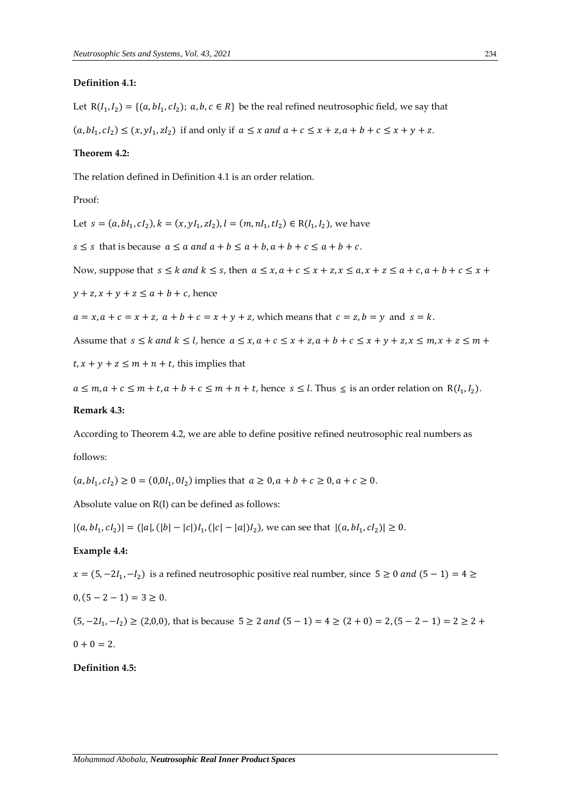#### **Definition 4.1:**

Let  $R(I_1, I_2) = \{(a, bl_1, cl_2); a, b, c \in R\}$  be the real refined neutrosophic field, we say that

 $(a, bl_1, cl_2) \le (x, yl_1, zl_2)$  if and only if  $a \le x$  and  $a + c \le x + z$ ,  $a + b + c \le x + y + z$ .

#### **Theorem 4.2:**

The relation defined in Definition 4.1 is an order relation.

Proof:

Let  $s = (a, bl_1, cl_2), k = (x, yl_1, zl_2), l = (m, nl_1, tl_2) \in R(I_1, I_2)$ , we have

 $s \leq s$  that is because  $a \leq a$  and  $a + b \leq a + b$ ,  $a + b + c \leq a + b + c$ .

Now, suppose that 
$$
s \le k
$$
 and  $k \le s$ , then  $a \le x$ ,  $a + c \le x + z$ ,  $x \le a$ ,  $x + z \le a + c$ ,  $a + b + c \le x + c$ 

 $y + z$ ,  $x + y + z \le a + b + c$ , hence

 $a = x, a + c = x + z, a + b + c = x + y + z$ , which means that  $c = z, b = y$  and  $s = k$ .

Assume that 
$$
s \le k
$$
 and  $k \le l$ , hence  $a \le x$ ,  $a + c \le x + z$ ,  $a + b + c \le x + y + z$ ,  $x \le m$ ,  $x + z \le m$  +

 $t, x + y + z \leq m + n + t$ , this implies that

 $a \leq m, a + c \leq m + t, a + b + c \leq m + n + t$ , hence  $s \leq l$ . Thus  $\leq$  is an order relation on  $R(I_1, I_2)$ .

#### **Remark 4.3:**

According to Theorem 4.2, we are able to define positive refined neutrosophic real numbers as follows:

 $(a, bl_1, cl_2) \ge 0 = (0, 0, l_1, 0, l_2)$  implies that  $a \ge 0, a + b + c \ge 0, a + c \ge 0$ .

Absolute value on R(I) can be defined as follows:

 $|(a, bl_1, cl_2)| = (|a|, (|b| - |c|)I_1, (|c| - |a|)I_2)$ , we can see that  $|(a, bl_1, cl_2)| \ge 0$ .

## **Example 4.4:**

 $x = (5, -2I_1, -I_2)$  is a refined neutrosophic positive real number, since 5 ≥ 0 and (5 – 1) = 4 ≥

$$
0, (5 - 2 - 1) = 3 \geq 0.
$$

 $(5, -2I_1, -I_2) \ge (2, 0, 0)$ , that is because  $5 \ge 2$  and  $(5 - 1) = 4 \ge (2 + 0) = 2$ ,  $(5 - 2 - 1) = 2 \ge 2 +$  $0 + 0 = 2.$ 

**Definition 4.5:**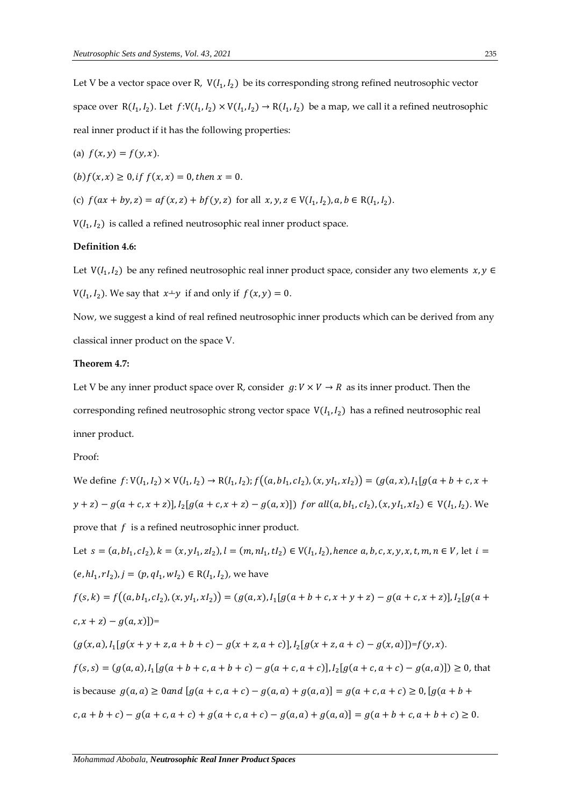Let V be a vector space over R,  $V(I_1, I_2)$  be its corresponding strong refined neutrosophic vector space over  $R(I_1, I_2)$ . Let  $f: V(I_1, I_2) \times V(I_1, I_2) \to R(I_1, I_2)$  be a map, we call it a refined neutrosophic real inner product if it has the following properties:

(a) 
$$
f(x, y) = f(y, x)
$$
.

 $(b) f(x, x) \ge 0$ , if  $f(x, x) = 0$ , then  $x = 0$ .

(c) 
$$
f(ax + by, z) = af(x, z) + bf(y, z)
$$
 for all  $x, y, z \in V(I_1, I_2), a, b \in R(I_1, I_2)$ .

 $V(I_1,I_2)$  is called a refined neutrosophic real inner product space.

# **Definition 4.6:**

Let  $V(I_1, I_2)$  be any refined neutrosophic real inner product space, consider any two elements  $x, y \in$  $V(I_1, I_2)$ . We say that  $x+y$  if and only if  $f(x, y) = 0$ .

Now, we suggest a kind of real refined neutrosophic inner products which can be derived from any classical inner product on the space V.

#### **Theorem 4.7:**

Let V be any inner product space over R, consider  $g: V \times V \rightarrow R$  as its inner product. Then the corresponding refined neutrosophic strong vector space  $V(I_1, I_2)$  has a refined neutrosophic real inner product.

## Proof:

We define  $f: V(I_1, I_2) \times V(I_1, I_2) \to R(I_1, I_2)$ ;  $f((a, bl_1, cl_2), (x, yI_1, xI_2)) = (g(a, x), I_1[g(a + b + c, x + b])$  $y + z$ ) –  $g(a + c, x + z)$ ],  $I_2[g(a + c, x + z) - g(a, x)]$ ) for all $(a, bl_1, cl_2)$ ,  $(x, yl_1, xl_2) \in V(I_1, I_2)$ . We prove that  $f$  is a refined neutrosophic inner product. Let  $s = (a, bl_1, cl_2), k = (x, yl_1, zl_2), l = (m, nl_1, tl_2) \in V(l_1, l_2),$  hence  $a, b, c, x, y, x, t, m, n \in V$ , let  $i =$  $(e, hI_1, rI_2), j = (p, qI_1, wI_2) \in R(I_1, I_2)$ , we have  $f(s,k) = f((a, bl_1, cl_2), (x, yl_1, xl_2)) = (g(a,x), l_1[g(a+b+c, x+y+z) - g(a+c, x+z)], l_2[g(a+b, x+y+z)]$  $(c, x + z) - g(a, x)]$ )=  $(g(x, a), I_1[g(x + y + z, a + b + c) - g(x + z, a + c)]$ ,  $I_2[g(x + z, a + c) - g(x, a)]$ )=f(y, x).  $f(s,s) = (g(a,a), I_1[g(a+b+c,a+b+c) - g(a+c,a+c)], I_2[g(a+c,a+c) - g(a,a)]) \ge 0$ , that is because  $g(a, a)$  ≥ 0 and  $[g(a + c, a + c) - g(a, a) + g(a, a)] = g(a + c, a + c)$  ≥ 0,[ $g(a + b +$  $c, a + b + c$ ) –  $g(a + c, a + c) + g(a + c, a + c) - g(a, a) + g(a, a)$ ] =  $g(a + b + c, a + b + c) \ge 0$ .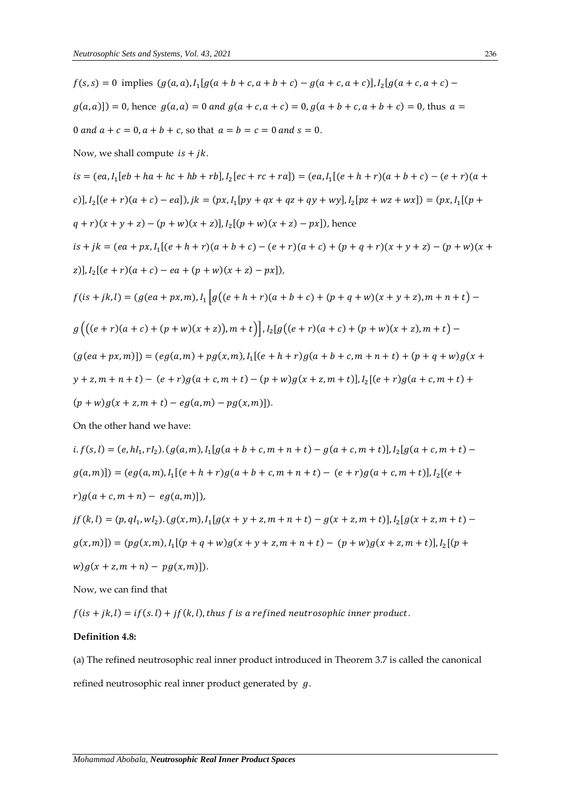$$
f(s, s) = 0 \text{ implies } (g(a, a), I_1[g(a + b + c, a + b + c) - g(a + c, a + c)], I_2[g(a + c, a + c) - g(a, a)] = 0, \text{ hence } g(a, a) = 0 \text{ and } g(a + c, a + c) = 0, g(a + b + c, a + b + c) = 0, \text{ thus } a = 0 \text{ and } a + c = 0, a + b + c, \text{ so that } a = b = c = 0 \text{ and } s = 0.
$$
  
\nNow, we shall compute  $is + jk$ .  
\n
$$
is = (ea, I_1[eb + ha + hc + hb + rb], I_2[ec + rc + ra]) = (ea, I_1[(e + h + r)(a + b + c) - (e + r)(a + c)], I_2[(e + r)(a + c) - a]), k = (px, I_1[py + qx + qx + qy + wy], I_2[pz + wz + wx]) = (px, I_1[(p + q + r)(x + y + z) - (p + w)(x + z)], I_2[(p + w)(x + z) - px]), \text{ hence}
$$
  
\n
$$
is + jk = (ea + px, I_1[(e + h + r)(a + b + c) - (e + r)(a + c) + (p + q + r)(x + y + z) - (p + w)(x + z)], I_2[(e + r)(a + c) - ea + (p + w)(x + z) - px]),
$$
  
\n
$$
f(is + jk, l) = (g(ea + px, m), I_1[g((e + h + r)(a + b + c) + (p + q + w)(x + y + z), m + n + t) - g((e + r)(a + c) + (p + w)(x + z), m + t) - g((e + r)(a + c) + (p + w)(x + z), m + t) - (g(ea + px, m))] = (eg(a, m) + pg(x, m), I_1[(e + h + r)g(a + b + c, m + n + t) + (p + q + w)g(x + y + z, m + n + t) - (e + r)g(a + c, m + t) - (p + w)g(x + z, m + t) - (p + w)g(x + z, m + t) - (p + w)g(x + z, m + t) - (q + w)g(x + z, m + t) - (q + w)g(x + z, m + t) - (q + w)g(x + z, m + t) - (q + w)g(x + z, m + t) - (q + w)g
$$

$$
i. f(s, l) = (e, hl_1, rl_2). (g(a, m), l_1[g(a + b + c, m + n + t) - g(a + c, m + t)], l_2[g(a + c, m + t) - g(a, m)]) = (eg(a, m), l_1[(e + h + r)g(a + b + c, m + n + t) - (e + r)g(a + c, m + t)], l_2[(e + r)g(a + c, m + n) - eg(a, m)]),
$$
  
\n
$$
j f(k, l) = (p, ql_1, wl_2). (g(x, m), l_1[g(x + y + z, m + n + t) - g(x + z, m + t)], l_2[g(x + z, m + t) - g(x, m)]) = (pg(x, m), l_1[(p + q + w)g(x + y + z, m + n + t) - (p + w)g(x + z, m + t)], l_2[(p + w)g(x + z, m + n) - pg(x, m)]).
$$

Now, we can find that

$$
f(is + jk, l) = if(s, l) + jf(k, l)
$$
, thus  $f$  is a refined neutrosophic inner product.

## **Definition 4.8:**

(a) The refined neutrosophic real inner product introduced in Theorem 3.7 is called the canonical refined neutrosophic real inner product generated by  $g$ .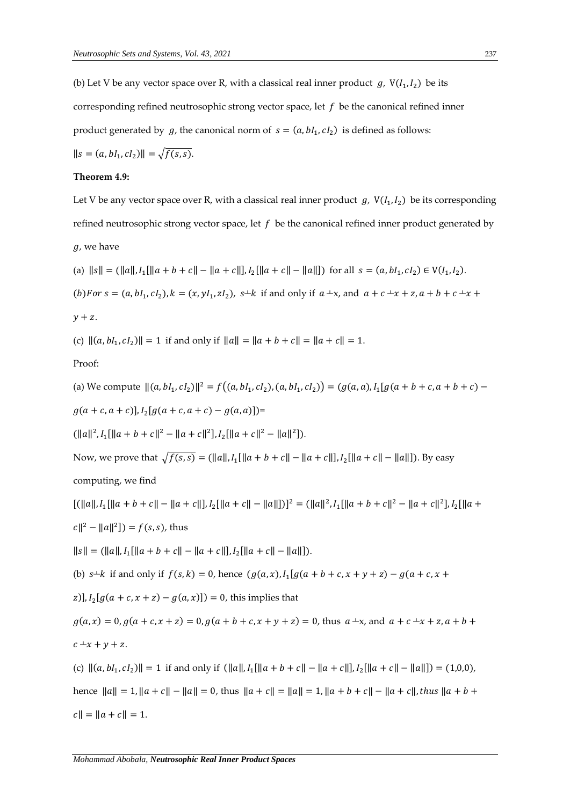(b) Let V be any vector space over R, with a classical real inner product  $g$ ,  $V(I_1, I_2)$  be its corresponding refined neutrosophic strong vector space, let  $f$  be the canonical refined inner

product generated by  $g$ , the canonical norm of  $s = (a, bI_1, cI_2)$  is defined as follows:

$$
||s = (a, bl_1, cl_2)|| = \sqrt{f(s, s)}.
$$

#### **Theorem 4.9:**

Let V be any vector space over R, with a classical real inner product  $g$ ,  $V(I_1, I_2)$  be its corresponding refined neutrosophic strong vector space, let  $f$  be the canonical refined inner product generated by

g, we have

\n- (a) 
$$
||s|| = (||a||, I_1[||a + b + c|| - ||a + c||], I_2[||a + c|| - ||a||]
$$
) for all  $s = (a, bl_1, cl_2) \in V(I_1, I_2)$ .
\n- (b) For  $s = (a, bl_1, cl_2), k = (x, yI_1, zI_2), s \pm k$  if and only if  $a \pm x$ , and  $a + c \pm x + z$ ,  $a + b + c \pm x + y + z$ .
\n

(c)  $\|(a, bl_1, cl_2)\| = 1$  if and only if  $\|a\| = \|a + b + c\| = \|a + c\| = 1$ .

Proof:

(a) We compute 
$$
||(a, bl_1, cl_2)||^2 = f((a, bl_1, cl_2), (a, bl_1, cl_2)) = (g(a, a), l_1[g(a + b + c, a + b + c) - g(a + c, a + c)], l_2[g(a + c, a + c) - g(a, a)] =
$$

 $(||a||^2, I_1[||a+b+c||^2 - ||a+c||^2], I_2[||a+c||^2 - ||a||^2]).$ 

Now, we prove that  $\sqrt{f(s,s)} = (\|a\|, I_1[\|a + b + c\| - \|a + c\|], I_2[\|a + c\| - \|a\|]).$  By easy

computing, we find

```
[(\|a\|, I_1[\|a+b+c\|-\|a+c\|], I_2[\|a+c\|-\|a\|])]^2 = (\|a\|^2, I_1[\|a+b+c\|^2-\|a+c\|^2], I_2[\|a+c\|]\|a+d\|c\|^{2} - \|a\|^{2}]) = f(s, s), thus
```
 $||s|| = (||a||, I_1[||a + b + c|| - ||a + c||], I_2[||a + c|| - ||a||]).$ 

(b) 
$$
s \pm k
$$
 if and only if  $f(s, k) = 0$ , hence  $(g(a, x), I_1[g(a + b + c, x + y + z) - g(a + c, x + b))$ 

$$
z
$$
],  $I_2[g(a + c, x + z) - g(a, x)]$  = 0, this implies that

 $g(a, x) = 0, g(a + c, x + z) = 0, g(a + b + c, x + y + z) = 0$ , thus  $a + x$ , and  $a + c + x + z$ ,  $a + b + z$  $c + x + y + z$ .

(c)  $||(a, bI_1, cI_2)|| = 1$  if and only if  $(||a||, I_1[||a + b + c|| - ||a + c||], I_2[||a + c|| - ||a||]) = (1,0,0),$ hence  $||a|| = 1$ ,  $||a + c|| - ||a|| = 0$ , thus  $||a + c|| = ||a|| = 1$ ,  $||a + b + c|| - ||a + c||$ , thus  $||a + b + c||$  $|c|| = ||a + c|| = 1.$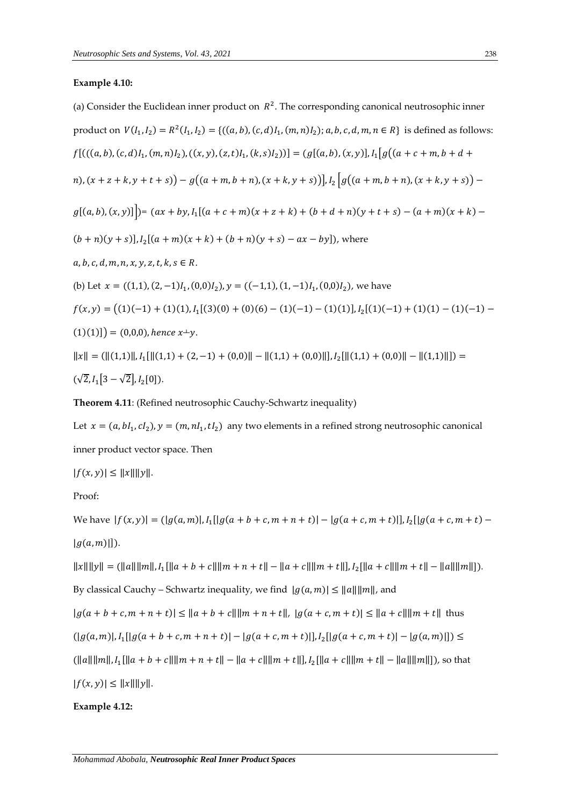## **Example 4.10:**

(a) Consider the Euclidean inner product on 
$$
R^2
$$
. The corresponding canonical neutrosophic inner  
product on  $V(I_1, I_2) = R^2(I_1, I_2) = \{((a, b), (c, d)I_1, (m, n)I_2); a, b, c, d, m, n \in R\}$  is defined as follows:  
 $f[((a, b), (c, d)I_1, (m, n)I_2), ((x, y), (z, t)I_1, (k, s)I_2))] = (g[(a, b), (x, y)], I_1[g((a + c + m, b + d + n)), (x + z + k, y + t + s)) - g((a + m, b + n), (x + k, y + s))\}].$   
 $g[(a, b), (x, y)]] = (ax + by, I_1[(a + c + m)(x + z + k) + (b + d + n)(y + t + s) - (a + m)(x + k) - (b + n)(y + s)], I_2[(a + m)(x + k) + (b + n)(y + s) - ax - by]),$  where  
a, b, c, d, m, n, x, y, z, t, k, s \in R.  
(b) Let  $x = ((1,1), (2, -1)I_1, (0,0)I_2), y = ((-1,1), (1, -1)I_1, (0,0)I_2),$  we have  
 $f(x, y) = ((1)(-1) + (1)(1), I_1[(3)(0) + (0)(6) - (1)(-1) - (1)(1)], I_2[(1)(-1) + (1)(1) - (1)(-1) - (1)(1)]\} = (0,0,0),$  hence  $x+y$ .  
 $||x|| = (||(1,1)||, I_1[||(1,1) + (2,-1) + (0,0)|| - ||(1,1) + (0,0)||], I_2[||(1,1) + (0,0)|| - ||(1,1)||] =$   
 $(\sqrt{2}, I_1[3 - \sqrt{2}], I_2[0]).$ 

**Theorem 4.11**: (Refined neutrosophic Cauchy-Schwartz inequality)

Let  $x = (a, bl_1, cl_2), y = (m, nl_1, tl_2)$  any two elements in a refined strong neutrosophic canonical inner product vector space. Then

 $|f(x, y)| \leq ||x|| ||y||.$ 

Proof:

We have  $|f(x, y)| = (|g(a, m)|, I_1[|g(a + b + c, m + n + t)| - |g(a + c, m + t)|], I_2[|g(a + c, m + t)|]$  $|g(a, m)|$ ).

 $||x|| ||y|| = (||a|| ||m||, I_1[||a + b + c|| ||m + n + t|| - ||a + c|| ||m + t||], I_2[||a + c|| ||m + t|| - ||a|| ||m||]).$ By classical Cauchy – Schwartz inequality, we find  $|g(a, m)| \le ||a|| ||m||$ , and  $|g(a + b + c, m + n + t)| \leq ||a + b + c|| ||m + n + t||, |g(a + c, m + t)| \leq ||a + c|| ||m + t||$  thus  $(|g(a,m)|, I_1[|g(a+b+c,m+n+t)|-|g(a+c,m+t)|], I_2[|g(a+c,m+t)|-|g(a,m)|]) \leq$  $(\|a\|\|m\|, I_1[\|a+b+c\|\|m+n+t\| - \|a+c\|\|m+t\|], I_2[\|a+c\|\|m+t\| - \|a\|\|m\|])$ , so that

 $|f(x, y)| \leq ||x|| ||y||.$ 

**Example 4.12:**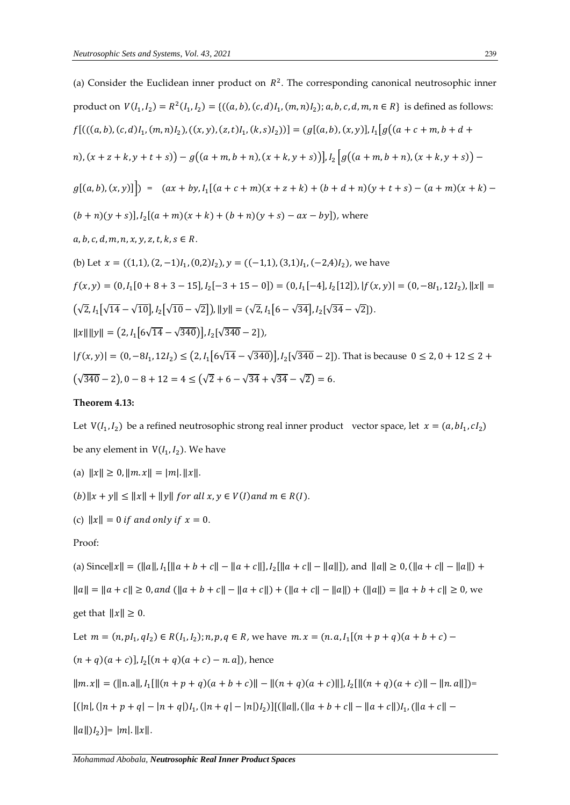(a) Consider the Euclidean inner product on 
$$
R^2
$$
. The corresponding canonical neutrosophic inner  
product on  $V(I_1, I_2) = R^2(I_1, I_2) = \{((a, b), (c, d)I_1, (m, n)I_2); a, b, c, d, m, n \in R\}$  is defined as follows:  
 $f[((a, b), (c, d)I_1, (m, n)I_2), ((x, y), (z, t)I_1, (k, s)I_2)]) = (g[(a, b), (x, y)], I_1[g((a + c + m, b + d + n)), (x + z + k, y + t + s)) - g((a + m, b + n), (x + k, y + s))\} - g[(a, b), (x, y)]]) = (ax + by, I_1[(a + c + m)(x + z + k) + (b + d + n)(y + t + s) - (a + m)(x + k) - (b + n)(y + s)], I_2[(a + m)(x + k) + (b + n)(y + s) - ax - by]\}, wherea, b, c, d, m, n, x, y, z, t, k, s \in R.(b) Let  $x = ((1,1), (2,-1)I_1, (0,2)I_2), y = ((-1,1), (3,1)I_1, (-2,4)I_2), we have $f(x, y) = (0, I_1[0 + 8 + 3 - 15], I_2[-3 + 15 - 0]) = (0, I_1[-4], I_2[12]), |f(x, y)| = (0, -8I_1, 12I_2), ||x|| =$   
 $(\sqrt{2}, I_1[\sqrt{14} - \sqrt{10}], I_2[\sqrt{10} - \sqrt{2}]), ||y|| = (\sqrt{2}, I_1[6 - \sqrt{34}], I_2[\sqrt{34} - \sqrt{2}]).$   
 $||x|| ||y|| = (2, I_1[6\sqrt{14} - \sqrt{340}], I_2[\sqrt{340} - 2]),$   
 $[f(x, y)] = (0, -8I_1, 12I_2) \le (2, I_1[6\sqrt{14} - \sqrt{340}], I_2[\sqrt{340} - 2]).$  That is because  $0 \le 2, 0 + 12 \le 2 + (\sqrt{340} - 2), 0 - 8 + 12 = 4 \le (\sqrt{2} + 6 - \sqrt{34} + \sqrt{34} - \sqrt{2$$$ 

# **Theorem 4.13:**

Let  $V(I_1, I_2)$  be a refined neutrosophic strong real inner product vector space, let  $x = (a, bl_1, cl_2)$ be any element in  $\mathop{\rm V}\nolimits(I_1,I_2).$  We have

(a)  $||x|| \ge 0$ ,  $||m \cdot x|| = |m|$ .  $||x||$ .

 $(b)\Vert x+y\Vert \leq \Vert x\Vert +\Vert y\Vert~for~all~x,y\in V(I)~and~m\in R(I).$ 

(c) 
$$
||x|| = 0
$$
 if and only if  $x = 0$ .

Proof:

(a) Since 
$$
||x|| = (||a||, I_1[||a + b + c|| - ||a + c||], I_2[||a + c|| - ||a||])
$$
, and  $||a|| \ge 0$ ,  $(||a + c|| - ||a||) + ||a|| = ||a + c|| \ge 0$ , and  $(||a + b + c|| - ||a + c||) + (||a + c|| - ||a||) + (||a||) = ||a + b + c|| \ge 0$ , we

get that 
$$
||x|| \ge 0
$$
.

Let 
$$
m = (n, pl_1, qI_2) \in R(I_1, I_2)
$$
;  $n, p, q \in R$ , we have  $m \cdot x = (n \cdot a, I_1[(n + p + q)(a + b + c) -$ 

$$
(n+q)(a+c)
$$
,  $l_2[(n+q)(a+c) - n.a]$ , hence

$$
||m.x|| = (||n.a||, I_1[||(n+p+q)(a+b+c)|| - ||(n+q)(a+c)||], I_2[||(n+q)(a+c)|| - ||n.a||)] =
$$

$$
[(|n|, (|n+p+q|-|n+q|)I_1, (|n+q|-|n|)I_2)][(||a||, (||a+b+c||-||a+c||)I_1, (||a+c||-||a+|c|))I_2, (||a||+|c||-||a+|c|)
$$

 $||a||)I_2$ ]=  $|m|$ .  $||x||$ .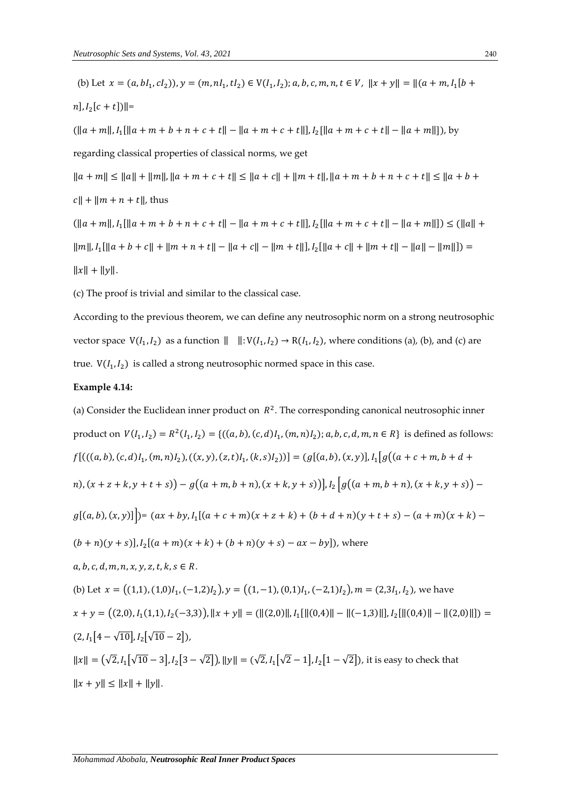(b) Let  $x = (a, bl_1, cl_2)$ ,  $y = (m, nl_1, tl_2) \in V(I_1, I_2)$ ;  $a, b, c, m, n, t \in V$ ,  $||x + y|| = ||(a + m, I_1[b + t_1, t_2])||$  $n$ ],  $I_2[c + t]$ )||=  $(||a + m||, I_1[||a + m + b + n + c + t|| - ||a + m + c + t||], I_2[||a + m + c + t|| - ||a + m||]),$  by regarding classical properties of classical norms, we get  $||a+m|| \le ||a|| + ||m||, ||a+m+c+t|| \le ||a+c|| + ||m+t||, ||a+m+b+n+c+t|| \le ||a+b+t$  $c \| + \| m + n + t \|$ , thus  $(\|a+m\|, I_1[\|a+m+b+n+c+t\|]-\|a+m+c+t\|], I_2[\|a+m+c+t\|]-\|a+m\|]) \leq (\|a\|+$  $\|m\|, I_1[\|a+b+c\|+\|m+n+t\|-\|a+c\|-\|m+t\|], I_2[\|a+c\|+\|m+t\|-\|a\|-\|m\|])=$  $||x|| + ||y||.$ 

(c) The proof is trivial and similar to the classical case.

According to the previous theorem, we can define any neutrosophic norm on a strong neutrosophic vector space  $V(I_1, I_2)$  as a function  $|| \cdot V(I_1, I_2) \rightarrow R(I_1, I_2)$ , where conditions (a), (b), and (c) are true.  $V(I_1, I_2)$  is called a strong neutrosophic normed space in this case.

# **Example 4.14:**

(a) Consider the Euclidean inner product on  $R^2$ . The corresponding canonical neutrosophic inner product on  $V(I_1, I_2) = R^2(I_1, I_2) = \{((a, b), (c, d)I_1, (m, n)I_2); a, b, c, d, m, n \in R\}$  is defined as follows:  $f[(( (a, b), (c, d)I_1, (m, n)I_2), ((x, y), (z, t)I_1, (k, s)I_2))] = (g[(a, b), (x, y)], I_1[g((a + c + m, b + d + s)I_1, (k, s)I_2)]$  $m$ ),  $(x + z + k, y + t + s)$   $- g((a + m, b + n), (x + k, y + s))]$ ,  $I_2$   $|g((a + m, b + n), (x + k, y + s))$   $$  $g[(a, b), (x, y)]$   $\big| = (ax + by, I<sub>1</sub>[(a + c + m)(x + z + k) + (b + d + n)(y + t + s) - (a + m)(x + k) (b + n)(y + s)$ ],  $I_2[(a + m)(x + k) + (b + n)(y + s) - ax - by]$ , where  $a, b, c, d, m, n, x, y, z, t, k, s \in R$ . (b) Let  $x = ((1,1), (1,0)I_1, (-1,2)I_2), y = ((1,-1), (0,1)I_1, (-2,1)I_2), m = (2,3I_1, I_2)$ , we have  $x + y = ((2,0), I_1(1,1), I_2(-3,3)), \|x + y\| = (\|(2,0)\|, I_1[\|(0,4)\| - \|(-1,3)\|], I_2[\| (0,4)\| - \| (2,0)\|]) =$  $(2, I<sub>1</sub>[4 - \sqrt{10}], I<sub>2</sub>[\sqrt{10} - 2]),$  $||x|| = (\sqrt{2}, I_1[\sqrt{10}-3], I_2[3-\sqrt{2}]), ||y|| = (\sqrt{2}, I_1[\sqrt{2}-1], I_2[1-\sqrt{2}]),$  it is easy to check that  $||x + y|| \le ||x|| + ||y||.$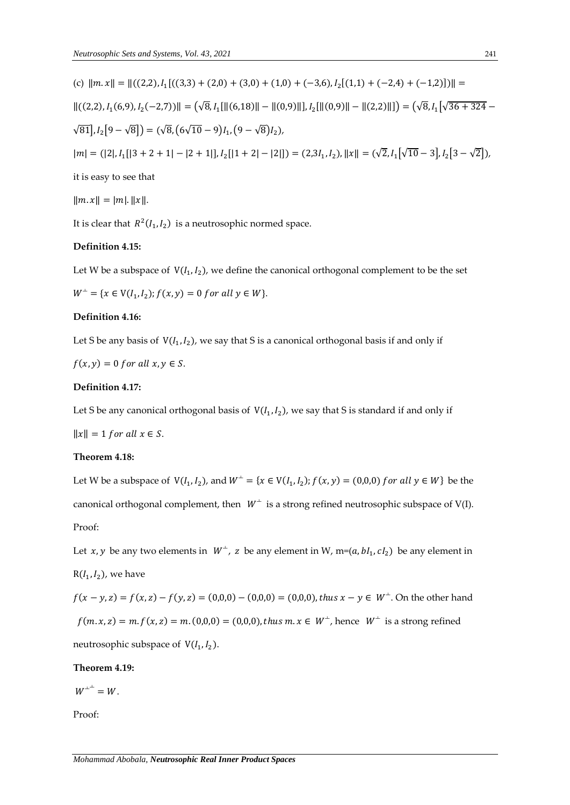(c) 
$$
||m.x|| = ||((2,2), I_1[((3,3) + (2,0) + (3,0) + (1,0) + (-3,6), I_2[(1,1) + (-2,4) + (-1,2)])|| =
$$
  
\n $||((2,2), I_1(6,9), I_2(-2,7))|| = (\sqrt{8}, I_1[||(6,18)|| - ||(0,9)||], I_2[||(0,9)|| - ||(2,2)||]) = (\sqrt{8}, I_1[\sqrt{36+324} - \sqrt{81}], I_2[9 - \sqrt{8}]) = (\sqrt{8}, (6\sqrt{10} - 9)I_1, (9 - \sqrt{8})I_2),$   
\n $|m| = (|2|, I_1[|3 + 2 + 1| - |2 + 1|], I_2[|1 + 2| - |2|]) = (2,3I_1, I_2), ||x|| = (\sqrt{2}, I_1[\sqrt{10} - 3], I_2[3 - \sqrt{2}]),$   
\nit is easy to see that

$$
||m.x|| = |m|, ||x||.
$$

It is clear that  $R^2(I_1,I_2)$  is a neutrosophic normed space.

# **Definition 4.15:**

Let W be a subspace of  $V(I_1, I_2)$ , we define the canonical orthogonal complement to be the set  $W^{\perp} = \{x \in V(I_1, I_2); f(x, y) = 0 \text{ for all } y \in W\}.$ 

#### **Definition 4.16:**

Let S be any basis of  $V(I_1,I_2)$ , we say that S is a canonical orthogonal basis if and only if

$$
f(x, y) = 0 \text{ for all } x, y \in S.
$$

# **Definition 4.17:**

Let S be any canonical orthogonal basis of  $\ V(I_1,I_2)$ , we say that S is standard if and only if

 $||x|| = 1$  for all  $x \in S$ .

# **Theorem 4.18:**

Let W be a subspace of  $V(I_1, I_2)$ , and  $W^+ = \{x \in V(I_1, I_2); f(x, y) = (0,0,0) \text{ for all } y \in W\}$  be the canonical orthogonal complement, then  $W^{\perp}$  is a strong refined neutrosophic subspace of V(I). Proof:

Let *x*, *y* be any two elements in  $W^{\perp}$ , *z* be any element in W, m=(*a*, *b*I<sub>1</sub>, *c*I<sub>2</sub>) be any element in  $R(I_1, I_2)$ , we have

 $f(x - y, z) = f(x, z) - f(y, z) = (0, 0, 0) - (0, 0, 0) = (0, 0, 0)$ , thus  $x - y \in W^{\perp}$ . On the other hand  $f(m, x, z) = m$ .  $f(x, z) = m$ .  $(0, 0, 0) = (0, 0, 0)$ , thus  $m$ .  $x \in W^{\perp}$ , hence  $W^{\perp}$  is a strong refined neutrosophic subspace of  $V(I_1, I_2)$ .

#### **Theorem 4.19:**

 $W^{\perp^{\perp}} = W.$ 

Proof: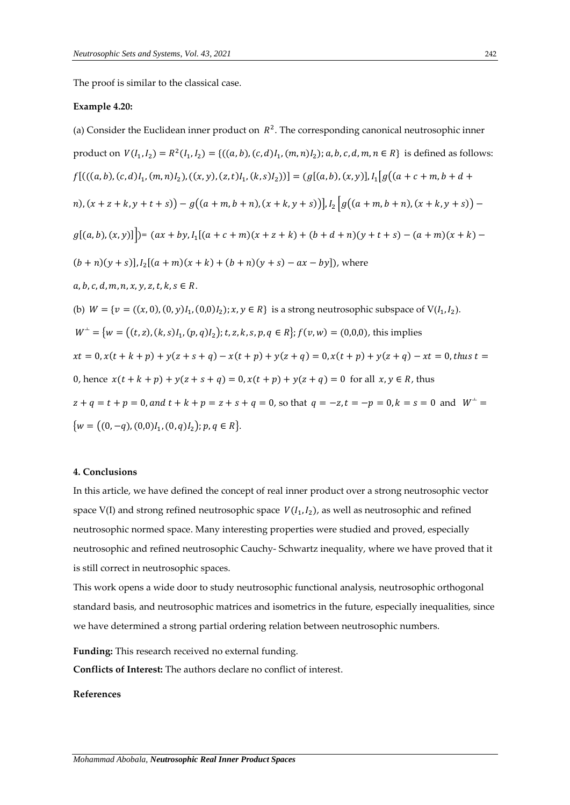The proof is similar to the classical case.

#### **Example 4.20:**

(a) Consider the Euclidean inner product on  $R^2$ . The corresponding canonical neutrosophic inner product on  $V(I_1, I_2) = R^2(I_1, I_2) = \{((a, b), (c, d)I_1, (m, n)I_2); a, b, c, d, m, n \in R\}$  is defined as follows:  $f[(( (a, b), (c, d)I_1, (m, n)I_2), ((x, y), (z, t)I_1, (k, s)I_2))] = (g[(a, b), (x, y)], I_1[g((a + c + m, b + d + s)I_1, (k, s)I_2)]$  $m$ ),  $(x + z + k, y + t + s)$   $- g((a + m, b + n), (x + k, y + s))]$ ,  $I_2$   $|g((a + m, b + n), (x + k, y + s))$   $$  $g[(a, b), (x, y)]$ | $)= (ax + by, I<sub>1</sub>[(a + c + m)(x + z + k) + (b + d + n)(y + t + s) - (a + m)(x + k) (b + n)(y + s)$ ],  $I_2[(a + m)(x + k) + (b + n)(y + s) - ax - by]$ , where  $a, b, c, d, m, n, x, y, z, t, k, s \in R$ . (b)  $W = \{v = ((x, 0), (0, y)I_1, (0, 0)I_2); x, y \in R\}$  is a strong neutrosophic subspace of  $V(I_1, I_2)$ .  $W^{\perp} = \{ w = \big( (t, z), (k, s) I_1, (p, q) I_2 \big); t, z, k, s, p, q \in R \}; f(v, w) = (0, 0, 0),$  this implies  $xt = 0, x(t + k + p) + y(z + s + q) - x(t + p) + y(z + q) = 0, x(t + p) + y(z + q) - xt = 0, thus t =$ 0, hence  $x(t + k + p) + y(z + s + q) = 0$ ,  $x(t + p) + y(z + q) = 0$  for all  $x, y \in R$ , thus  $z + q = t + p = 0$ , and  $t + k + p = z + s + q = 0$ , so that  $q = -z$ ,  $t = -p = 0$ ,  $k = s = 0$  and  $W^{\perp} =$  ${w = ((0, -q), (0,0)I_1, (0, q)I_2); p, q \in R}.$ 

#### **4. Conclusions**

In this article, we have defined the concept of real inner product over a strong neutrosophic vector space V(I) and strong refined neutrosophic space  $V(I_1, I_2)$ , as well as neutrosophic and refined neutrosophic normed space. Many interesting properties were studied and proved, especially neutrosophic and refined neutrosophic Cauchy- Schwartz inequality, where we have proved that it is still correct in neutrosophic spaces.

This work opens a wide door to study neutrosophic functional analysis, neutrosophic orthogonal standard basis, and neutrosophic matrices and isometrics in the future, especially inequalities, since we have determined a strong partial ordering relation between neutrosophic numbers.

**Funding:** This research received no external funding.

**Conflicts of Interest:** The authors declare no conflict of interest.

#### **References**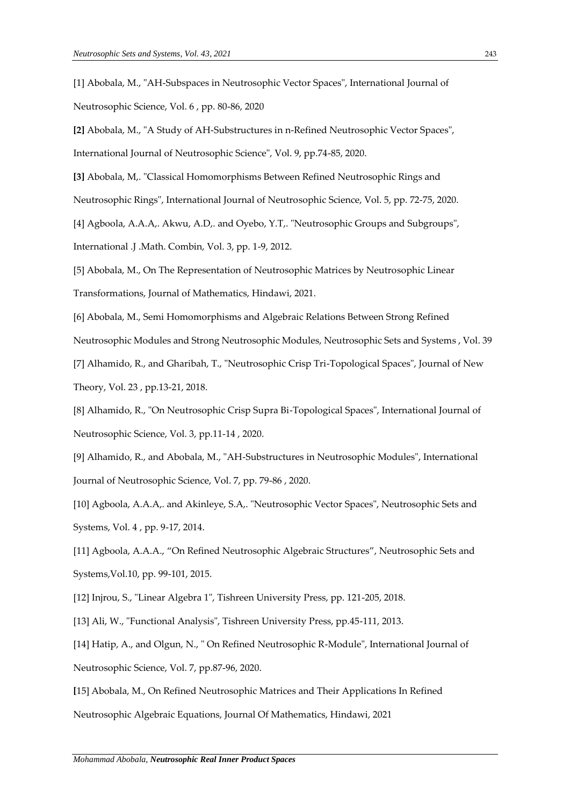[1] Abobala, M., "AH-Subspaces in Neutrosophic Vector Spaces", International Journal of Neutrosophic Science, Vol. 6 , pp. 80-86, 2020

**[2]** Abobala, M., "A Study of AH-Substructures in n-Refined Neutrosophic Vector Spaces", International Journal of Neutrosophic Science", Vol. 9, pp.74-85, 2020.

**[3]** Abobala, M,. "Classical Homomorphisms Between Refined Neutrosophic Rings and

Neutrosophic Rings", International Journal of Neutrosophic Science, Vol. 5, pp. 72-75, 2020.

[4] Agboola, A.A.A,. Akwu, A.D,. and Oyebo, Y.T,. "Neutrosophic Groups and Subgroups",

International .J .Math. Combin, Vol. 3, pp. 1-9, 2012.

[5] Abobala, M., On The Representation of Neutrosophic Matrices by Neutrosophic Linear Transformations, Journal of Mathematics, Hindawi, 2021.

[6] Abobala, M., Semi Homomorphisms and Algebraic Relations Between Strong Refined Neutrosophic Modules and Strong Neutrosophic Modules, Neutrosophic Sets and Systems , Vol. 39

[7] Alhamido, R., and Gharibah, T., "Neutrosophic Crisp Tri-Topological Spaces", Journal of New Theory, Vol. 23 , pp.13-21, 2018.

[8] Alhamido, R., "On Neutrosophic Crisp Supra Bi-Topological Spaces", International Journal of Neutrosophic Science, Vol. 3, pp.11-14 , 2020.

[9] Alhamido, R., and Abobala, M., "AH-Substructures in Neutrosophic Modules", International Journal of Neutrosophic Science, Vol. 7, pp. 79-86 , 2020.

[10] Agboola, A.A.A,. and Akinleye, S.A,. "Neutrosophic Vector Spaces", Neutrosophic Sets and Systems, Vol. 4 , pp. 9-17, 2014.

[11] Agboola, A.A.A., "On Refined Neutrosophic Algebraic Structures", Neutrosophic Sets and Systems,Vol.10, pp. 99-101, 2015.

[12] Injrou, S., "Linear Algebra 1", Tishreen University Press, pp. 121-205, 2018.

[13] Ali, W., "Functional Analysis", Tishreen University Press, pp.45-111, 2013.

[14] Hatip, A., and Olgun, N., " On Refined Neutrosophic R-Module", International Journal of Neutrosophic Science, Vol. 7, pp.87-96, 2020.

**[**15] Abobala, M., On Refined Neutrosophic Matrices and Their Applications In Refined

Neutrosophic Algebraic Equations, Journal Of Mathematics, Hindawi, 2021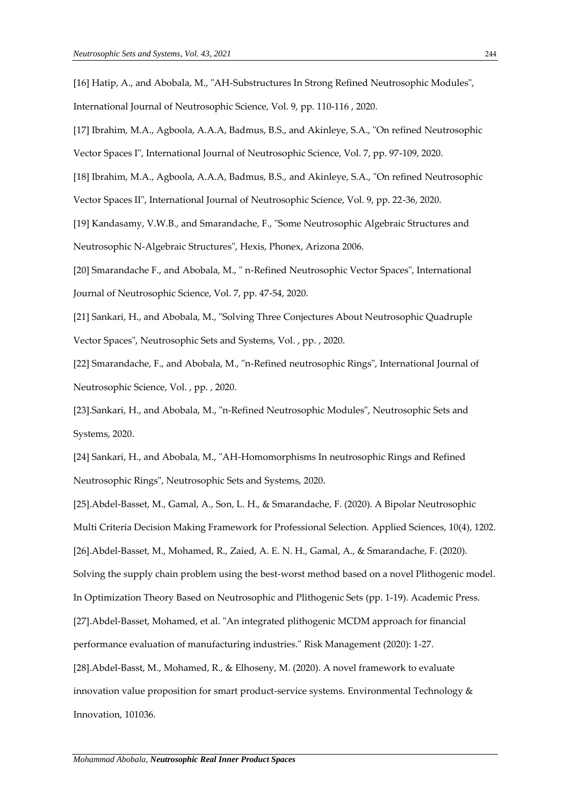International Journal of Neutrosophic Science, Vol. 9, pp. 110-116 , 2020.

[17] Ibrahim, M.A., Agboola, A.A.A, Badmus, B.S., and Akinleye, S.A., "On refined Neutrosophic

Vector Spaces I", International Journal of Neutrosophic Science, Vol. 7, pp. 97-109, 2020.

[18] Ibrahim, M.A., Agboola, A.A.A, Badmus, B.S., and Akinleye, S.A., "On refined Neutrosophic Vector Spaces II", International Journal of Neutrosophic Science, Vol. 9, pp. 22-36, 2020.

[19] Kandasamy, V.W.B., and Smarandache, F., "Some Neutrosophic Algebraic Structures and Neutrosophic N-Algebraic Structures", Hexis, Phonex, Arizona 2006.

[20] Smarandache F., and Abobala, M., " n-Refined Neutrosophic Vector Spaces", International Journal of Neutrosophic Science, Vol. 7, pp. 47-54, 2020.

[21] Sankari, H., and Abobala, M., "Solving Three Conjectures About Neutrosophic Quadruple Vector Spaces", Neutrosophic Sets and Systems, Vol. , pp. , 2020.

[22] Smarandache, F., and Abobala, M., "n-Refined neutrosophic Rings", International Journal of Neutrosophic Science, Vol. , pp. , 2020.

[23].Sankari, H., and Abobala, M., "n-Refined Neutrosophic Modules", Neutrosophic Sets and Systems, 2020.

[24] Sankari, H., and Abobala, M., "AH-Homomorphisms In neutrosophic Rings and Refined Neutrosophic Rings", Neutrosophic Sets and Systems, 2020.

[25].Abdel-Basset, M., Gamal, A., Son, L. H., & Smarandache, F. (2020). A Bipolar Neutrosophic Multi Criteria Decision Making Framework for Professional Selection. Applied Sciences, 10(4), 1202. [26].Abdel-Basset, M., Mohamed, R., Zaied, A. E. N. H., Gamal, A., & Smarandache, F. (2020). Solving the supply chain problem using the best-worst method based on a novel Plithogenic model. In Optimization Theory Based on Neutrosophic and Plithogenic Sets (pp. 1-19). Academic Press. [27].Abdel-Basset, Mohamed, et al. "An integrated plithogenic MCDM approach for financial performance evaluation of manufacturing industries." Risk Management (2020): 1-27. [28].Abdel-Basst, M., Mohamed, R., & Elhoseny, M. (2020). A novel framework to evaluate innovation value proposition for smart product-service systems. Environmental Technology &

Innovation, 101036.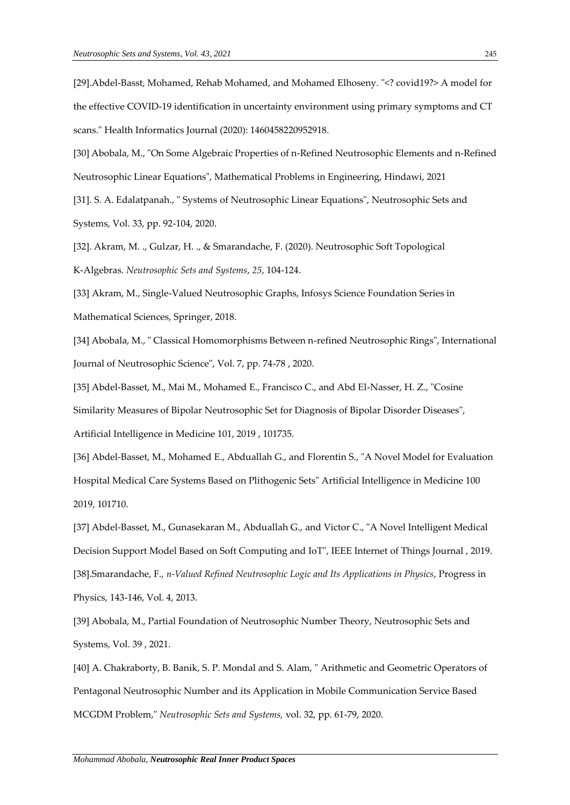[29].Abdel-Basst, Mohamed, Rehab Mohamed, and Mohamed Elhoseny. "<? covid19?> A model for the effective COVID-19 identification in uncertainty environment using primary symptoms and CT scans." Health Informatics Journal (2020): 1460458220952918.

[30] Abobala, M., "On Some Algebraic Properties of n-Refined Neutrosophic Elements and n-Refined Neutrosophic Linear Equations", Mathematical Problems in Engineering, Hindawi, 2021 [31]. S. A. Edalatpanah., " Systems of Neutrosophic Linear Equations", Neutrosophic Sets and Systems, Vol. 33, pp. 92-104, 2020.

[32]. Akram, M. ., Gulzar, H. ., & Smarandache, F. (2020). Neutrosophic Soft Topological K-Algebras. *Neutrosophic Sets and Systems*, *25*, 104-124.

[33] Akram, M., Single-Valued Neutrosophic Graphs, Infosys Science Foundation Series in Mathematical Sciences, Springer, 2018.

[34] Abobala, M., " Classical Homomorphisms Between n-refined Neutrosophic Rings", International Journal of Neutrosophic Science", Vol. 7, pp. 74-78 , 2020.

[35] Abdel-Basset, M., Mai M., Mohamed E., Francisco C., and Abd El-Nasser, H. Z., "Cosine Similarity Measures of Bipolar Neutrosophic Set for Diagnosis of Bipolar Disorder Diseases", Artificial Intelligence in Medicine 101, 2019 , 101735.

[36] Abdel-Basset, M., Mohamed E., Abduallah G., and Florentin S., "A Novel Model for Evaluation Hospital Medical Care Systems Based on Plithogenic Sets" Artificial Intelligence in Medicine 100 2019, 101710.

[37] Abdel-Basset, M., Gunasekaran M., Abduallah G., and Victor C., "A Novel Intelligent Medical Decision Support Model Based on Soft Computing and IoT", IEEE Internet of Things Journal , 2019. [38].Smarandache, F., *n-Valued Refined Neutrosophic Logic and Its Applications in Physics*, Progress in Physics, 143-146, Vol. 4, 2013.

[39] Abobala, M., Partial Foundation of Neutrosophic Number Theory, Neutrosophic Sets and Systems, Vol. 39 , 2021.

[40] A. Chakraborty, B. Banik, S. P. Mondal and S. Alam, " Arithmetic and Geometric Operators of Pentagonal Neutrosophic Number and its Application in Mobile Communication Service Based MCGDM Problem," *Neutrosophic Sets and Systems,* vol. 32, pp. 61-79, 2020.